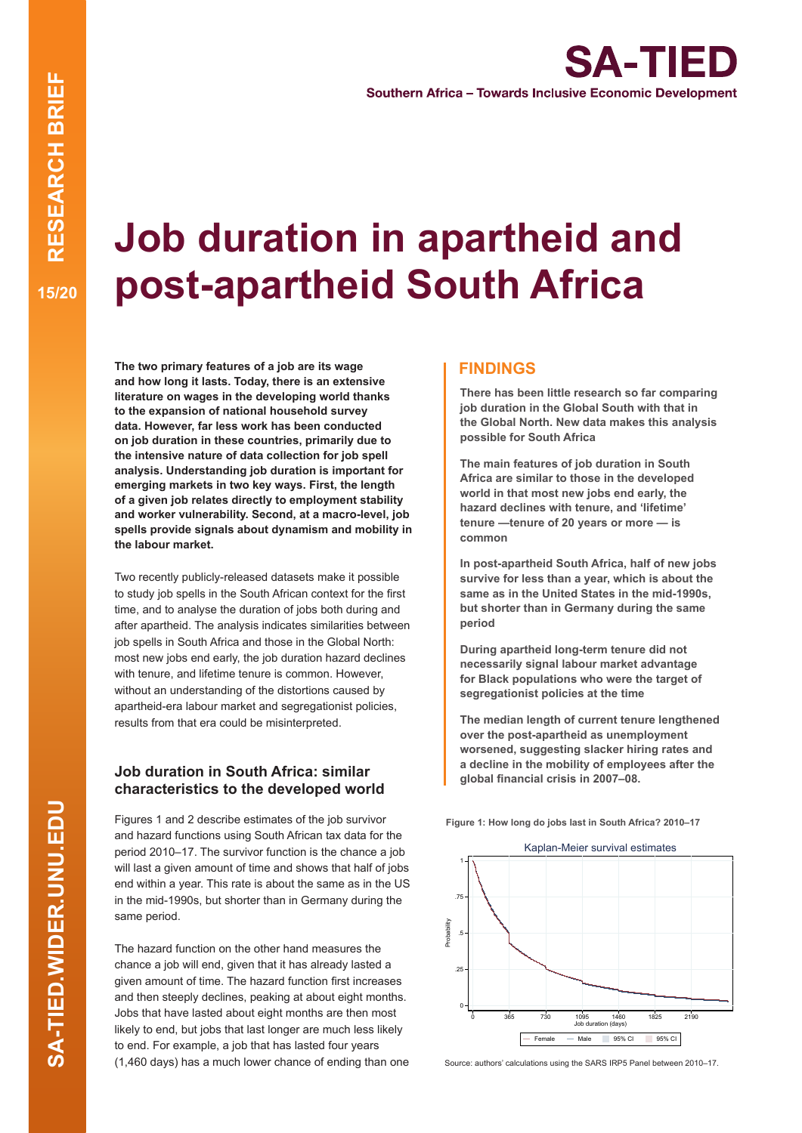# **Job duration in apartheid and post-apartheid South Africa**

**The two primary features of a job are its wage and how long it lasts. Today, there is an extensive literature on wages in the developing world thanks to the expansion of national household survey data. However, far less work has been conducted on job duration in these countries, primarily due to the intensive nature of data collection for job spell analysis. Understanding job duration is important for emerging markets in two key ways. First, the length of a given job relates directly to employment stability and worker vulnerability. Second, at a macro-level, job spells provide signals about dynamism and mobility in the labour market.**

Two recently publicly-released datasets make it possible to study job spells in the South African context for the first time, and to analyse the duration of jobs both during and after apartheid. The analysis indicates similarities between job spells in South Africa and those in the Global North: most new jobs end early, the job duration hazard declines with tenure, and lifetime tenure is common. However, without an understanding of the distortions caused by apartheid-era labour market and segregationist policies, results from that era could be misinterpreted.

## **Job duration in South Africa: similar characteristics to the developed world**

Figures 1 and 2 describe estimates of the job survivor and hazard functions using South African tax data for the period 2010–17. The survivor function is the chance a job will last a given amount of time and shows that half of jobs end within a year. This rate is about the same as in the US in the mid-1990s, but shorter than in Germany during the same period.

The hazard function on the other hand measures the chance a job will end, given that it has already lasted a given amount of time. The hazard function first increases and then steeply declines, peaking at about eight months. Jobs that have lasted about eight months are then most likely to end, but jobs that last longer are much less likely to end. For example, a job that has lasted four years (1,460 days) has a much lower chance of ending than one

### **FINDINGS**

**There has been little research so far comparing job duration in the Global South with that in the Global North. New data makes this analysis possible for South Africa**

**The main features of job duration in South Africa are similar to those in the developed world in that most new jobs end early, the hazard declines with tenure, and 'lifetime' tenure —tenure of 20 years or more — is common**

**In post-apartheid South Africa, half of new jobs survive for less than a year, which is about the same as in the United States in the mid-1990s, but shorter than in Germany during the same period**

**During apartheid long-term tenure did not necessarily signal labour market advantage for Black populations who were the target of segregationist policies at the time**

**The median length of current tenure lengthened over the post-apartheid as unemployment worsened, suggesting slacker hiring rates and a decline in the mobility of employees after the global financial crisis in 2007–08.**

**Figure 1: How long do jobs last in South Africa? 2010–17**



Source: authors' calculations using the SARS IRP5 Panel between 2010–17.